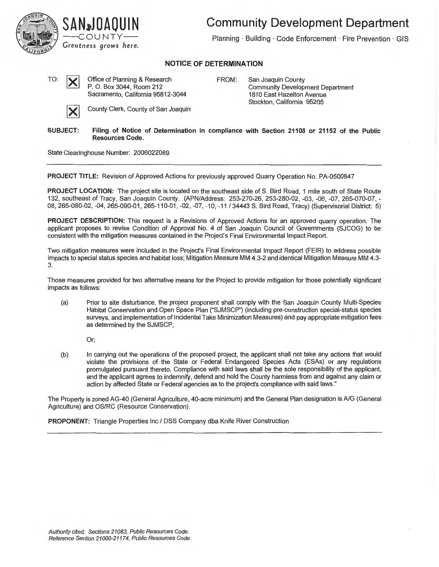

## **Community Development Department**

Planning · Building · Code Enforcement · Fire Prevention · GIS

## **NOTICE OF DETERMINATION**

TO:

X

Office of Planning & Research P. O. Box 3044, Room 212 Sacramento, California 95812-3044

FROM: San Joaquin County Community Development Department 1810 East Hazelton Avenue Stockton, California 95205

County Clerk, County of San Joaquin

**SUBJECT: Filing of Notice of Determination in compliance with Section 21108 or 21152 of the Public Resources Code.** 

State Clearinghouse Number: 2006022089

**PROJECT TITLE:** Revision of Approved Actions for previously approved Quarry Operation No. PA-0500847

**PROJECT LOCATION:** The project site is located on the southeast side of S. Bird Road, 1 mile south of State Route 132, southeast of Tracy, San Joaquin County. (APN/Address: 253-270-26, 253-280-02, -03, -06, -07, 265-070-07, - 08, 265-080-02, -04, 265-090-01, 265-110-01 , -02, -07, -10, -11 / 34443 S. Bird Road, Tracy) (Supervisorial District: 5)

**PROJECT DESCRIPTION:** This request is a Revisions of Approved Actions for an approved quarry operation. The applicant proposes to revise Condition of Approval No. 4 of San Joaquin Council of Governments (SJCOG) to be consistent with the mitigation measures contained in the Project's Final Environmental Impact Report.

Two mitigation measures were included in the Project's Final Environmental Impact Report (FEIR) to address possible impacts to special status species and habitat loss; Mitigation Measure MM 4.3-2 and identical Mitigation Measure MM 4.3- 3.

Those measures provided for two alternative means for the Project to provide mitigation for those potentially significant impacts as follows:

(a) Prior to site disturbance, the project proponent shall comply with the San Joaquin County Multi-Species Habitat Conservation and Open Space Plan ("SJMSCP") (including pre-construction special-status species surveys, and implementation of Incidental Take Minimization Measures) and pay appropriate mitigation fees as determined by the SJMSCP,

Or;

(b) In carrying out the operations of the proposed project, the applicant shall not take any actions that would violate the provisions of the State or Federal Endangered Species Acts (ESAs) or any regulations promulgated pursuant thereto. Compliance with said laws shall be the sole responsibility of the applicant, and the applicant agrees to indemnify, defend and hold the County harmless from and against any claim or action by affected State or Federal agencies as to the project's compliance with said laws."

The Property is zoned AG-40 (General Agriculture, 40-acre minimum) and the General Plan designation is A/G (General Agriculture) and OS/RC (Resource Conservation).

**PROPONENT:** Triangle Properties Inc/ DSS Company dba Knife River Construction